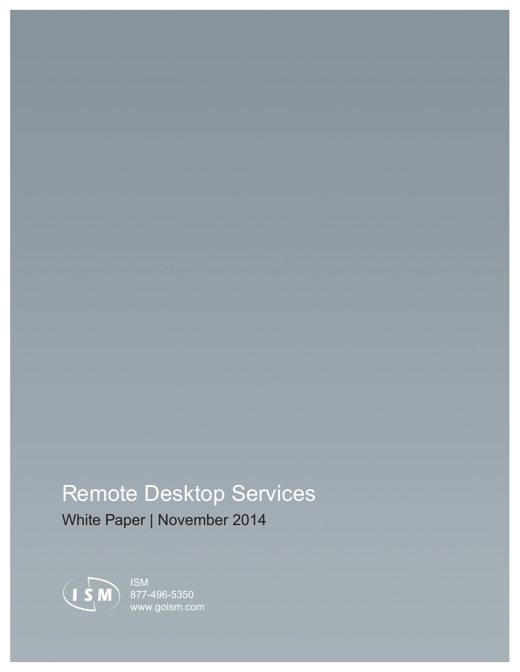## Remote Desktop Services

White Paper | November 2014



ISM 877-496-5350 [www.goism.com](http://www.goism.com)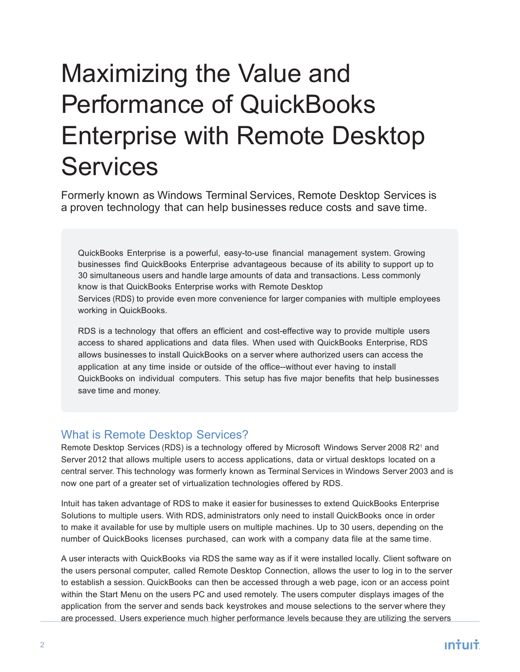# Maximizing the Value and Performance of QuickBooks Enterprise with Remote Desktop **Services**

Formerly known as Windows Terminal Services, Remote Desktop Services is a proven technology that can help businesses reduce costs and save time.

QuickBooks Enterprise is a powerful, easy-to-use financial management system. Growing businesses find QuickBooks Enterprise advantageous because of its ability to support up to 30 simultaneous users and handle large amounts of data and transactions. Less commonly know is that QuickBooks Enterprise works with Remote Desktop Services (RDS) to provide even more convenience for larger companies with multiple employees working in QuickBooks.

RDS is a technology that offers an efficient and cost-effective way to provide multiple users access to shared applications and data files. When used with QuickBooks Enterprise, RDS allows businesses to install QuickBooks on a server where authorized users can access the application at any time inside or outside of the office--without ever having to install QuickBooks on individual computers. This setup has five major benefits that help businesses save time and money.

#### What is Remote Desktop Services?

Remote Desktop Services (RDS) is a technology offered by Microsoft Windows Server 2008 R2<sup>1</sup> and Server 2012 that allows multiple users to access applications, data or virtual desktops located on a central server. This technology was formerly known as Terminal Services in Windows Server 2003 and is now one part of a greater set of virtualization technologies offered by RDS.

Intuit has taken advantage of RDS to make it easier for businesses to extend QuickBooks Enterprise Solutions to multiple users. With RDS, administrators only need to install QuickBooks once in order to make it available for use by multiple users on multiple machines. Up to 30 users, depending on the number of QuickBooks licenses purchased, can work with a company data file at the same time.

A user interacts with QuickBooks via RDS the same way as if it were installed locally. Client software on the users personal computer, called Remote Desktop Connection, allows the user to log in to the server to establish a session. QuickBooks can then be accessed through a web page, icon or an access point within the Start Menu on the users PC and used remotely. The users computer displays images of the application from the server and sends back keystrokes and mouse selections to the server where they are processed. Users experience much higher performance levels because they are utilizing the servers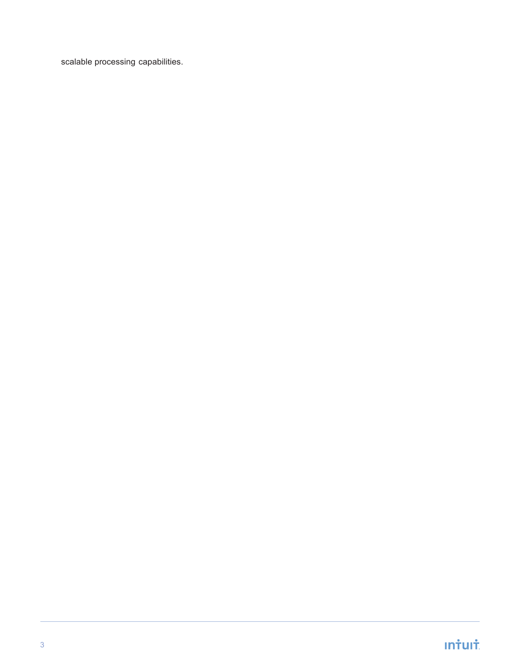scalable processing capabilities.

## **Infult**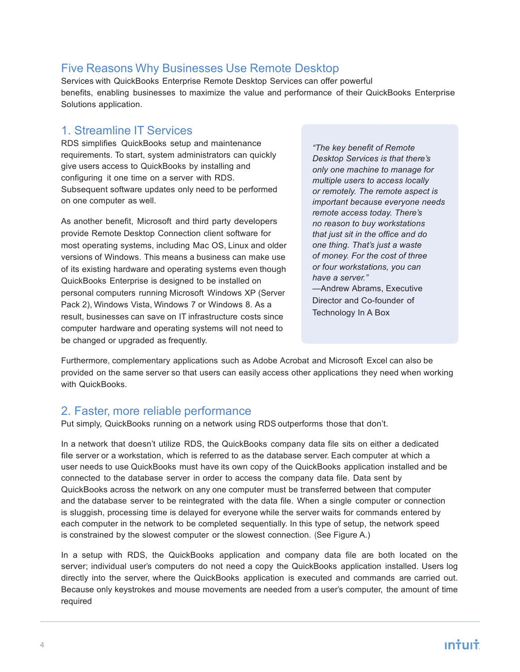#### Five Reasons Why Businesses Use Remote Desktop

Services with QuickBooks Enterprise Remote Desktop Services can offer powerful benefits, enabling businesses to maximize the value and performance of their QuickBooks Enterprise Solutions application.

#### 1. Streamline IT Services

RDS simplifies QuickBooks setup and maintenance requirements. To start, system administrators can quickly give users access to QuickBooks by installing and configuring it one time on a server with RDS. Subsequent software updates only need to be performed on one computer as well.

As another benefit, Microsoft and third party developers provide Remote Desktop Connection client software for most operating systems, including Mac OS, Linux and older versions of Windows. This means a business can make use of its existing hardware and operating systems even though QuickBooks Enterprise is designed to be installed on personal computers running Microsoft Windows XP (Server Pack 2), Windows Vista, Windows 7 or Windows 8. As a result, businesses can save on IT infrastructure costs since computer hardware and operating systems will not need to be changed or upgraded as frequently.

*"The key benefit of Remote Desktop Services is that there's only one machine to manage for multiple users to access locally or remotely. The remote aspect is important because everyone needs remote access today. There's no reason to buy workstations that just sit in the office and do one thing. That's just a waste of money. For the cost of three or four workstations, you can have a server."* —Andrew Abrams, Executive

Director and Co-founder of Technology In A Box

Furthermore, complementary applications such as Adobe Acrobat and Microsoft Excel can also be provided on the same server so that users can easily access other applications they need when working with QuickBooks.

#### 2. Faster, more reliable performance

Put simply, QuickBooks running on a network using RDS outperforms those that don't.

In a network that doesn't utilize RDS, the QuickBooks company data file sits on either a dedicated file server or a workstation, which is referred to as the database server. Each computer at which a user needs to use QuickBooks must have its own copy of the QuickBooks application installed and be connected to the database server in order to access the company data file. Data sent by QuickBooks across the network on any one computer must be transferred between that computer and the database server to be reintegrated with the data file. When a single computer or connection is sluggish, processing time is delayed for everyone while the server waits for commands entered by each computer in the network to be completed sequentially. In this type of setup, the network speed is constrained by the slowest computer or the slowest connection. (See Figure A.)

In a setup with RDS, the QuickBooks application and company data file are both located on the server; individual user's computers do not need a copy the QuickBooks application installed. Users log directly into the server, where the QuickBooks application is executed and commands are carried out. Because only keystrokes and mouse movements are needed from a user's computer, the amount of time required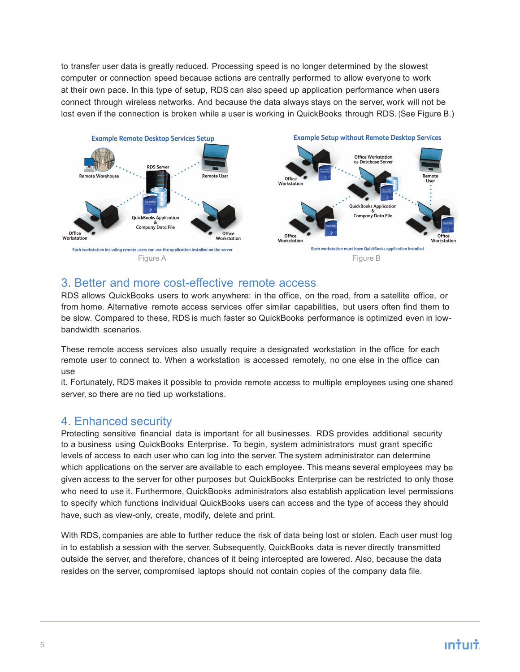to transfer user data is greatly reduced. Processing speed is no longer determined by the slowest computer or connection speed because actions are centrally performed to allow everyone to work at their own pace. In this type of setup, RDS can also speed up application performance when users connect through wireless networks. And because the data always stays on the server, work will not be lost even if the connection is broken while a user is working in QuickBooks through RDS. (See Figure B.)



#### 3. Better and more cost-effective remote access

RDS allows QuickBooks users to work anywhere: in the office, on the road, from a satellite office, or from home. Alternative remote access services offer similar capabilities, but users often find them to be slow. Compared to these, RDS is much faster so QuickBooks performance is optimized even in lowbandwidth scenarios.

These remote access services also usually require a designated workstation in the office for each remote user to connect to. When a workstation is accessed remotely, no one else in the office can use

it. Fortunately, RDS makes it possible to provide remote access to multiple employees using one shared server, so there are no tied up workstations.

#### 4. Enhanced security

Protecting sensitive financial data is important for all businesses. RDS provides additional security to a business using QuickBooks Enterprise. To begin, system administrators must grant specific levels of access to each user who can log into the server. The system administrator can determine which applications on the server are available to each employee. This means several employees may be given access to the server for other purposes but QuickBooks Enterprise can be restricted to only those who need to use it. Furthermore, QuickBooks administrators also establish application level permissions to specify which functions individual QuickBooks users can access and the type of access they should have, such as view-only, create, modify, delete and print.

With RDS, companies are able to further reduce the risk of data being lost or stolen. Each user must log in to establish a session with the server. Subsequently, QuickBooks data is never directly transmitted outside the server, and therefore, chances of it being intercepted are lowered. Also, because the data resides on the server, compromised laptops should not contain copies of the company data file.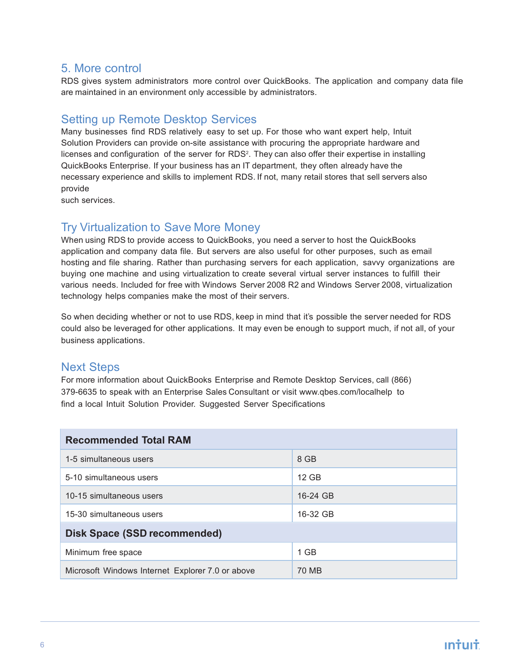#### 5. More control

RDS gives system administrators more control over QuickBooks. The application and company data file are maintained in an environment only accessible by administrators.

#### Setting up Remote Desktop Services

Many businesses find RDS relatively easy to set up. For those who want expert help, Intuit Solution Providers can provide on-site assistance with procuring the appropriate hardware and licenses and configuration of the server for RDS<sup>2</sup>. They can also offer their expertise in installing QuickBooks Enterprise. If your business has an IT department, they often already have the necessary experience and skills to implement RDS. If not, many retail stores that sell servers also provide

such services.

#### Try Virtualization to Save More Money

When using RDS to provide access to QuickBooks, you need a server to host the QuickBooks application and company data file. But servers are also useful for other purposes, such as email hosting and file sharing. Rather than purchasing servers for each application, savvy organizations are buying one machine and using virtualization to create several virtual server instances to fulfill their various needs. Included for free with Windows Server 2008 R2 and Windows Server 2008, virtualization technology helps companies make the most of their servers.

So when deciding whether or not to use RDS, keep in mind that it's possible the server needed for RDS could also be leveraged for other applications. It may even be enough to support much, if not all, of your business applications.

#### Next Steps

For more information about QuickBooks Enterprise and Remote Desktop Services, call (866) 379-6635 to speak with an Enterprise Sales Consultant or visit www.qbes.com/localhelp to find a local Intuit Solution Provider. Suggested Server Specifications

| <b>Recommended Total RAM</b>                     |          |
|--------------------------------------------------|----------|
| 1-5 simultaneous users                           | 8 GB     |
| 5-10 simultaneous users                          | 12 GB    |
| 10-15 simultaneous users                         | 16-24 GB |
| 15-30 simultaneous users                         | 16-32 GB |
| <b>Disk Space (SSD recommended)</b>              |          |
| Minimum free space                               | $1$ GB   |
| Microsoft Windows Internet Explorer 7.0 or above | 70 MB    |